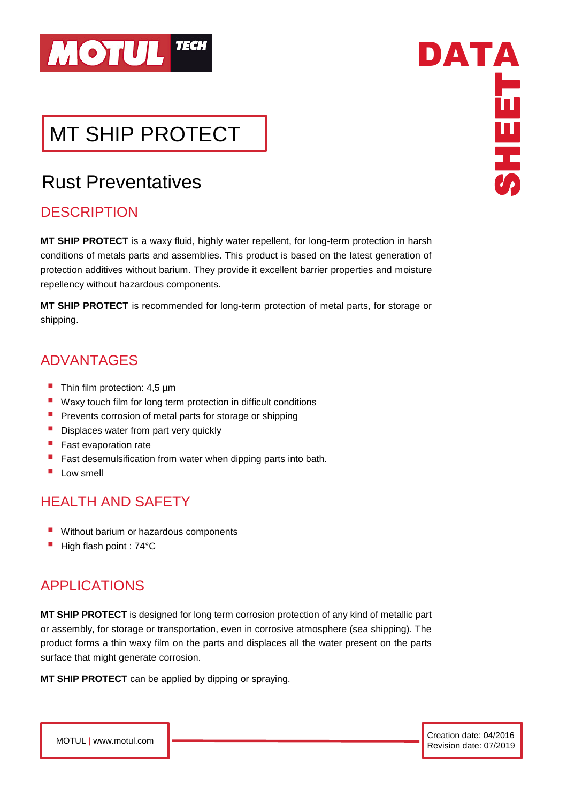

# MT SHIP PROTECT

## Rust Preventatives

### **DESCRIPTION**

 $\overline{\phantom{a}}$ 

**MT SHIP PROTECT** is a waxy fluid, highly water repellent, for long-term protection in harsh conditions of metals parts and assemblies. This product is based on the latest generation of protection additives without barium. They provide it excellent barrier properties and moisture repellency without hazardous components.

**MT SHIP PROTECT** is recommended for long-term protection of metal parts, for storage or shipping.

### ADVANTAGES

- $\blacksquare$  Thin film protection: 4,5 µm
- Waxy touch film for long term protection in difficult conditions
- Prevents corrosion of metal parts for storage or shipping
- **E** Displaces water from part very quickly
- **Fast evaporation rate**
- Fast desemulsification from water when dipping parts into bath.
- Low smell

### HEALTH AND SAFETY

- Without barium or hazardous components
- High flash point : 74°C

### APPLICATIONS

**MT SHIP PROTECT** is designed for long term corrosion protection of any kind of metallic part or assembly, for storage or transportation, even in corrosive atmosphere (sea shipping). The product forms a thin waxy film on the parts and displaces all the water present on the parts surface that might generate corrosion.

**MT SHIP PROTECT** can be applied by dipping or spraying.